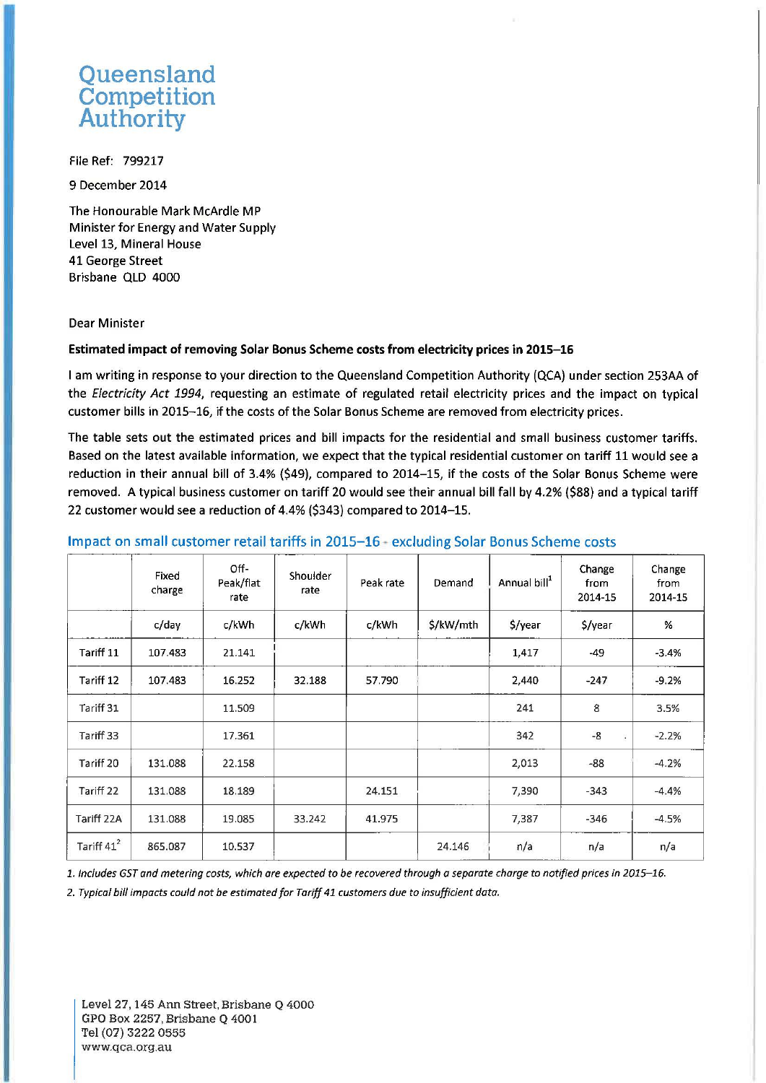# **Queensland Competition Authority**

File Ref: 799217

9 December 2014

The Honourable Mark McArdle MP Minister for Energy and Water Supply Level 13, Mineral House 41 George Street Brisbane QLD 4000

#### Dear Minister

#### Estimated impact of removing Solar Bonus Scheme costs from electricity prices in 2015-16

I am writing in response to your direction to the Queensland Competition Authority (QCA) under section 253AA of the Electricity Act 1994, requesting an estimate of regulated retail electricity prices and the impact on typical customer bills in 2015-16, if the costs of the Solar Bonus Scheme are removed from electricity prices.

The table sets out the estimated prices and bill impacts for the residential and small business customer tariffs. Based on the latest available information, we expect that the typical residential customer on tariff 11 would see a reduction in their annual bill of 3.4% (\$49), compared to 2014-15, if the costs of the Solar Bonus Scheme were removed. A typical business customer on tariff 20 would see their annual bill fall by 4.2% (\$88) and a typical tariff 22 customer would see a reduction of 4.4% (\$343) compared to 2014-15.

## Fixed Off- Shoulder | peak rate Demand Annual bill<sup>1</sup><br>that each peak rate Peak rate Demand Annual bill<sup>1</sup> Change Change Peak/flat Peak rate Demand from from charge rate rate 2014-15 2014-15 2014-15 c/day | c/kWh | c/kWh | c/kWh | \$/kW/mth | \$/year | % %  $\text{Tariff 11} \left| \begin{array}{ccc} 107.483 & 21.141 \end{array} \right| \left| \begin{array}{ccc} 1 & 1 & 1.417 \end{array} \right| \left| \begin{array}{ccc} 1,417 & -49 \end{array} \right| \left| \begin{array}{ccc} -3.4\% & -4.417 \end{array} \right|$ Tariff 12 | 107.483 | 16.252 | 32.188 | 57.790 | | 2,440 | -247 | -9.2% Tariff 31 11.509 241 8 3.5% Tariff 33 17.361 342 -8 -2.2% Tariff 20 131.088 22.158 2,013 -88 -4.2% Tariff 22 | 131.088 | 18.189 | | 24.151 | | 7,390 | -343 | -4.4% Tariff 22A | 131.088 | 19.085 | 33.242 | 41.975 | | 7,387 | -346 | -4.5% Tariff  $41^2$  865.087 10.537 24.146  $n/a$  n/a  $n/a$  n/a

### Impact on small customer retail tariffs in 2015-16 - excluding Solar Bonus Scheme costs

*1. Includes GST and metering costs, which are expected to be recovered through a separate charge to notified prices in 2015-16.* 

*2. Typical bill impacts could not be estimated for Tariff 41 customers due to insufficient data.*